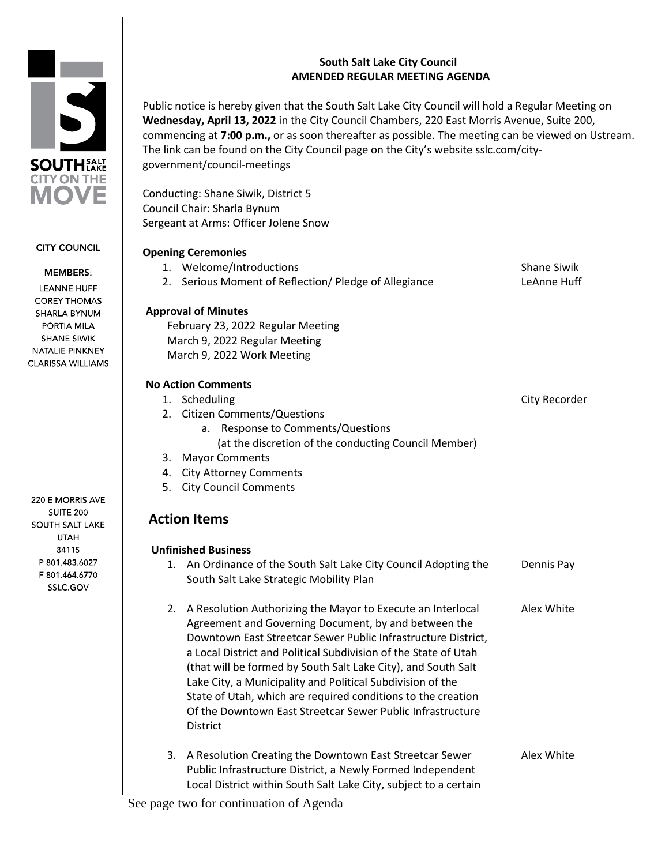# **South Salt Lake City Council AMENDED REGULAR MEETING AGENDA**

Public notice is hereby given that the South Salt Lake City Council will hold a Regular Meeting on **Wednesday, April 13, 2022** in the City Council Chambers, 220 East Morris Avenue, Suite 200, commencing at **7:00 p.m.,** or as soon thereafter as possible. The meeting can be viewed on Ustream. The link can be found on the City Council page on the City's website sslc.com/citygovernment/council-meetings

Conducting: Shane Siwik, District 5 Council Chair: Sharla Bynum Sergeant at Arms: Officer Jolene Snow

|    | <b>Opening Ceremonies</b>                                        |                    |
|----|------------------------------------------------------------------|--------------------|
|    | 1. Welcome/Introductions                                         | <b>Shane Siwik</b> |
|    | 2. Serious Moment of Reflection/ Pledge of Allegiance            | LeAnne Huff        |
|    | <b>Approval of Minutes</b>                                       |                    |
|    | February 23, 2022 Regular Meeting                                |                    |
|    | March 9, 2022 Regular Meeting                                    |                    |
|    | March 9, 2022 Work Meeting                                       |                    |
|    | <b>No Action Comments</b>                                        |                    |
|    | 1. Scheduling                                                    | City Recorder      |
|    | 2. Citizen Comments/Questions                                    |                    |
|    | <b>Response to Comments/Questions</b><br>a.                      |                    |
|    | (at the discretion of the conducting Council Member)             |                    |
|    | 3. Mayor Comments                                                |                    |
|    | 4. City Attorney Comments                                        |                    |
|    | 5. City Council Comments                                         |                    |
|    | <b>Action Items</b>                                              |                    |
|    | <b>Unfinished Business</b>                                       |                    |
|    | 1. An Ordinance of the South Salt Lake City Council Adopting the | Dennis Pay         |
|    | South Salt Lake Strategic Mobility Plan                          |                    |
| 2. | A Resolution Authorizing the Mayor to Execute an Interlocal      | Alex White         |
|    | Agreement and Governing Document, by and between the             |                    |
|    | Downtown East Streetcar Sewer Public Infrastructure District,    |                    |
|    | a Local District and Political Subdivision of the State of Utah  |                    |
|    | (that will be formed by South Salt Lake City), and South Salt    |                    |
|    | Lake City, a Municipality and Political Subdivision of the       |                    |
|    | State of Utah, which are required conditions to the creation     |                    |
|    | Of the Downtown East Streetcar Sewer Public Infrastructure       |                    |
|    | <b>District</b>                                                  |                    |
|    |                                                                  |                    |

3. A Resolution Creating the Downtown East Streetcar Sewer Alex White Public Infrastructure District, a Newly Formed Independent Local District within South Salt Lake City, subject to a certain

See page two for continuation of Agenda

**LEANNE HUFF COREY THOMAS** SHARLA BYNUM

**CITY COUNCIL** 

**MEMBERS:** 

PORTIA MILA **SHANE SIWIK** NATALIE PINKNEY **CLARISSA WILLIAMS** 

220 E MORRIS AVE **SUITE 200 SOUTH SALT LAKE UTAH** 84115 P 801.483.6027 F 801.464.6770 SSLC.GOV